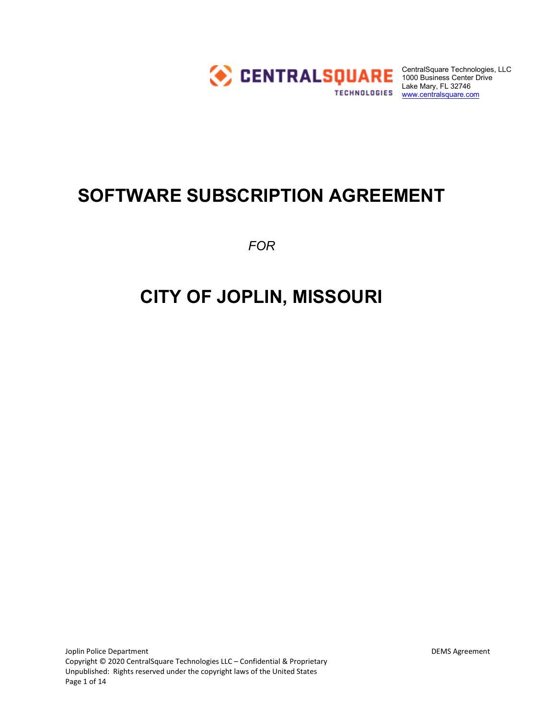

CentralSquare Technologies, LLC 1000 Business Center Drive Lake Mary, FL 32746 Lake Mary, Lover 10<br>TECHNOLOGIES <u>WWW.centralsquare.com</u>

# **SOFTWARE SUBSCRIPTION AGREEMENT**

*FOR*

# **CITY OF JOPLIN, MISSOURI**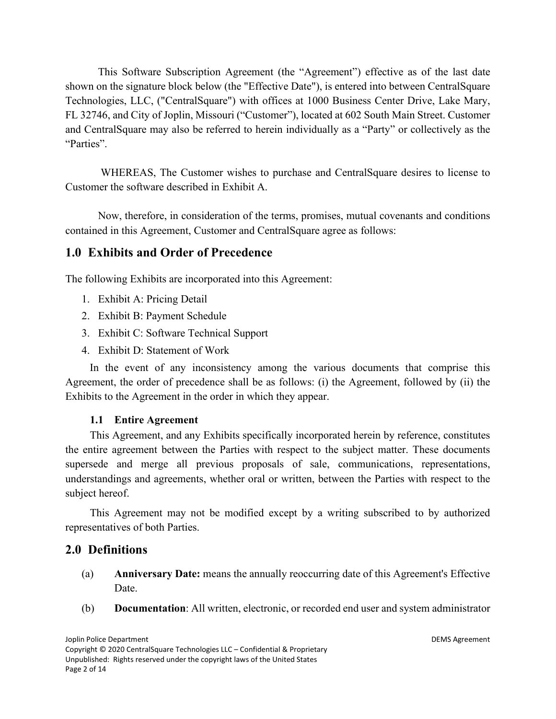This Software Subscription Agreement (the "Agreement") effective as of the last date shown on the signature block below (the "Effective Date"), is entered into between CentralSquare Technologies, LLC, ("CentralSquare") with offices at 1000 Business Center Drive, Lake Mary, FL 32746, and City of Joplin, Missouri ("Customer"), located at 602 South Main Street. Customer and CentralSquare may also be referred to herein individually as a "Party" or collectively as the "Parties".

WHEREAS, The Customer wishes to purchase and CentralSquare desires to license to Customer the software described in Exhibit A.

Now, therefore, in consideration of the terms, promises, mutual covenants and conditions contained in this Agreement, Customer and CentralSquare agree as follows:

# **1.0 Exhibits and Order of Precedence**

The following Exhibits are incorporated into this Agreement:

- 1. Exhibit A: Pricing Detail
- 2. Exhibit B: Payment Schedule
- 3. Exhibit C: Software Technical Support
- 4. Exhibit D: Statement of Work

In the event of any inconsistency among the various documents that comprise this Agreement, the order of precedence shall be as follows: (i) the Agreement, followed by (ii) the Exhibits to the Agreement in the order in which they appear.

#### **1.1 Entire Agreement**

This Agreement, and any Exhibits specifically incorporated herein by reference, constitutes the entire agreement between the Parties with respect to the subject matter. These documents supersede and merge all previous proposals of sale, communications, representations, understandings and agreements, whether oral or written, between the Parties with respect to the subject hereof.

This Agreement may not be modified except by a writing subscribed to by authorized representatives of both Parties.

# **2.0 Definitions**

- (a) **Anniversary Date:** means the annually reoccurring date of this Agreement's Effective Date.
- (b) **Documentation**: All written, electronic, or recorded end user and system administrator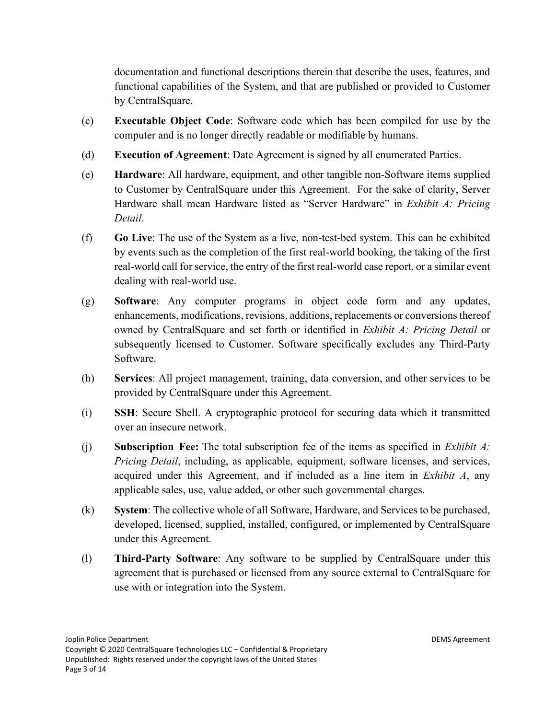documentation and functional descriptions therein that describe the uses, features, and functional capabilities of the System, and that are published or provided to Customer by CentralSquare.

- (c) **Executable Object Code**: Software code which has been compiled for use by the computer and is no longer directly readable or modifiable by humans.
- (d) **Execution of Agreement**: Date Agreement is signed by all enumerated Parties.
- (e) **Hardware**: All hardware, equipment, and other tangible non-Software items supplied to Customer by CentralSquare under this Agreement. For the sake of clarity, Server Hardware shall mean Hardware listed as "Server Hardware" in *Exhibit A: Pricing Detail*.
- (f) **Go Live**: The use of the System as a live, non-test-bed system. This can be exhibited by events such as the completion of the first real-world booking, the taking of the first real-world call for service, the entry of the first real-world case report, or a similar event dealing with real-world use.
- (g) **Software**: Any computer programs in object code form and any updates, enhancements, modifications, revisions, additions, replacements or conversions thereof owned by CentralSquare and set forth or identified in *Exhibit A: Pricing Detail* or subsequently licensed to Customer. Software specifically excludes any Third-Party Software.
- (h) **Services**: All project management, training, data conversion, and other services to be provided by CentralSquare under this Agreement.
- (i) **SSH**: Secure Shell. A cryptographic protocol for securing data which it transmitted over an insecure network.
- (j) **Subscription Fee:** The total subscription fee of the items as specified in *Exhibit A: Pricing Detail*, including, as applicable, equipment, software licenses, and services, acquired under this Agreement, and if included as a line item in *Exhibit A*, any applicable sales, use, value added, or other such governmental charges.
- (k) **System**: The collective whole of all Software, Hardware, and Services to be purchased, developed, licensed, supplied, installed, configured, or implemented by CentralSquare under this Agreement.
- (l) **Third-Party Software**: Any software to be supplied by CentralSquare under this agreement that is purchased or licensed from any source external to CentralSquare for use with or integration into the System.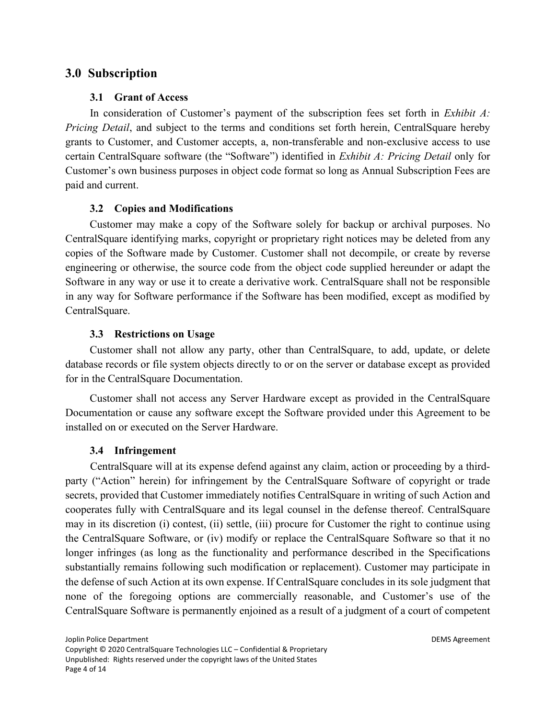# **3.0 Subscription**

#### **3.1 Grant of Access**

In consideration of Customer's payment of the subscription fees set forth in *Exhibit A: Pricing Detail*, and subject to the terms and conditions set forth herein, CentralSquare hereby grants to Customer, and Customer accepts, a, non-transferable and non-exclusive access to use certain CentralSquare software (the "Software") identified in *Exhibit A: Pricing Detail* only for Customer's own business purposes in object code format so long as Annual Subscription Fees are paid and current.

#### **3.2 Copies and Modifications**

Customer may make a copy of the Software solely for backup or archival purposes. No CentralSquare identifying marks, copyright or proprietary right notices may be deleted from any copies of the Software made by Customer. Customer shall not decompile, or create by reverse engineering or otherwise, the source code from the object code supplied hereunder or adapt the Software in any way or use it to create a derivative work. CentralSquare shall not be responsible in any way for Software performance if the Software has been modified, except as modified by CentralSquare.

#### **3.3 Restrictions on Usage**

Customer shall not allow any party, other than CentralSquare, to add, update, or delete database records or file system objects directly to or on the server or database except as provided for in the CentralSquare Documentation.

Customer shall not access any Server Hardware except as provided in the CentralSquare Documentation or cause any software except the Software provided under this Agreement to be installed on or executed on the Server Hardware.

#### **3.4 Infringement**

CentralSquare will at its expense defend against any claim, action or proceeding by a thirdparty ("Action" herein) for infringement by the CentralSquare Software of copyright or trade secrets, provided that Customer immediately notifies CentralSquare in writing of such Action and cooperates fully with CentralSquare and its legal counsel in the defense thereof. CentralSquare may in its discretion (i) contest, (ii) settle, (iii) procure for Customer the right to continue using the CentralSquare Software, or (iv) modify or replace the CentralSquare Software so that it no longer infringes (as long as the functionality and performance described in the Specifications substantially remains following such modification or replacement). Customer may participate in the defense of such Action at its own expense. If CentralSquare concludes in its sole judgment that none of the foregoing options are commercially reasonable, and Customer's use of the CentralSquare Software is permanently enjoined as a result of a judgment of a court of competent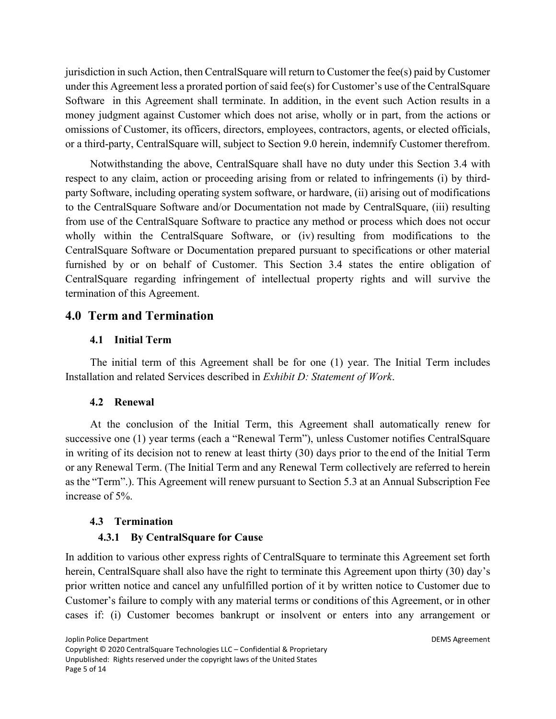jurisdiction in such Action, then CentralSquare will return to Customer the fee(s) paid by Customer under this Agreement less a prorated portion of said fee(s) for Customer's use of the CentralSquare Software in this Agreement shall terminate. In addition, in the event such Action results in a money judgment against Customer which does not arise, wholly or in part, from the actions or omissions of Customer, its officers, directors, employees, contractors, agents, or elected officials, or a third-party, CentralSquare will, subject to Section 9.0 herein, indemnify Customer therefrom.

Notwithstanding the above, CentralSquare shall have no duty under this Section 3.4 with respect to any claim, action or proceeding arising from or related to infringements (i) by thirdparty Software, including operating system software, or hardware, (ii) arising out of modifications to the CentralSquare Software and/or Documentation not made by CentralSquare, (iii) resulting from use of the CentralSquare Software to practice any method or process which does not occur wholly within the CentralSquare Software, or (iv) resulting from modifications to the CentralSquare Software or Documentation prepared pursuant to specifications or other material furnished by or on behalf of Customer. This Section 3.4 states the entire obligation of CentralSquare regarding infringement of intellectual property rights and will survive the termination of this Agreement.

# **4.0 Term and Termination**

## **4.1 Initial Term**

The initial term of this Agreement shall be for one (1) year. The Initial Term includes Installation and related Services described in *Exhibit D: Statement of Work*.

# **4.2 Renewal**

At the conclusion of the Initial Term, this Agreement shall automatically renew for successive one (1) year terms (each a "Renewal Term"), unless Customer notifies CentralSquare in writing of its decision not to renew at least thirty (30) days prior to the end of the Initial Term or any Renewal Term. (The Initial Term and any Renewal Term collectively are referred to herein as the "Term".). This Agreement will renew pursuant to Section 5.3 at an Annual Subscription Fee increase of 5%.

#### **4.3 Termination**

# **4.3.1 By CentralSquare for Cause**

In addition to various other express rights of CentralSquare to terminate this Agreement set forth herein, CentralSquare shall also have the right to terminate this Agreement upon thirty (30) day's prior written notice and cancel any unfulfilled portion of it by written notice to Customer due to Customer's failure to comply with any material terms or conditions of this Agreement, or in other cases if: (i) Customer becomes bankrupt or insolvent or enters into any arrangement or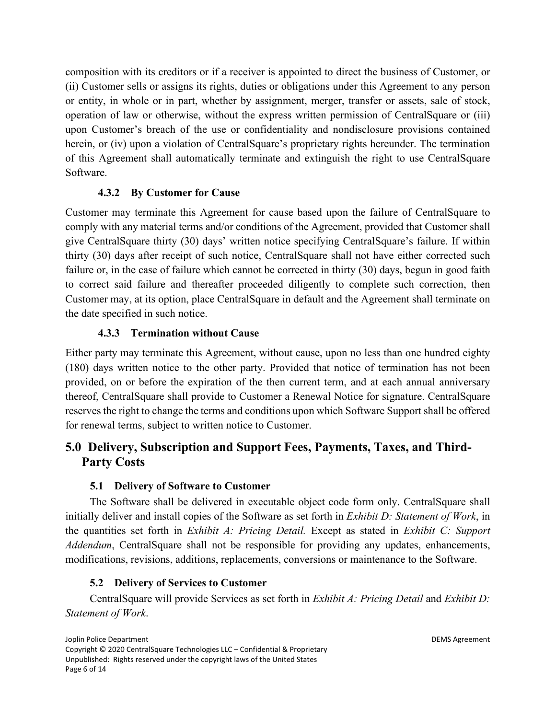composition with its creditors or if a receiver is appointed to direct the business of Customer, or (ii) Customer sells or assigns its rights, duties or obligations under this Agreement to any person or entity, in whole or in part, whether by assignment, merger, transfer or assets, sale of stock, operation of law or otherwise, without the express written permission of CentralSquare or (iii) upon Customer's breach of the use or confidentiality and nondisclosure provisions contained herein, or (iv) upon a violation of CentralSquare's proprietary rights hereunder. The termination of this Agreement shall automatically terminate and extinguish the right to use CentralSquare Software.

## **4.3.2 By Customer for Cause**

Customer may terminate this Agreement for cause based upon the failure of CentralSquare to comply with any material terms and/or conditions of the Agreement, provided that Customer shall give CentralSquare thirty (30) days' written notice specifying CentralSquare's failure. If within thirty (30) days after receipt of such notice, CentralSquare shall not have either corrected such failure or, in the case of failure which cannot be corrected in thirty (30) days, begun in good faith to correct said failure and thereafter proceeded diligently to complete such correction, then Customer may, at its option, place CentralSquare in default and the Agreement shall terminate on the date specified in such notice.

## **4.3.3 Termination without Cause**

Either party may terminate this Agreement, without cause, upon no less than one hundred eighty (180) days written notice to the other party. Provided that notice of termination has not been provided, on or before the expiration of the then current term, and at each annual anniversary thereof, CentralSquare shall provide to Customer a Renewal Notice for signature. CentralSquare reserves the right to change the terms and conditions upon which Software Support shall be offered for renewal terms, subject to written notice to Customer.

# **5.0 Delivery, Subscription and Support Fees, Payments, Taxes, and Third-Party Costs**

#### **5.1 Delivery of Software to Customer**

The Software shall be delivered in executable object code form only. CentralSquare shall initially deliver and install copies of the Software as set forth in *Exhibit D: Statement of Work*, in the quantities set forth in *Exhibit A: Pricing Detail.* Except as stated in *Exhibit C: Support Addendum*, CentralSquare shall not be responsible for providing any updates, enhancements, modifications, revisions, additions, replacements, conversions or maintenance to the Software.

#### **5.2 Delivery of Services to Customer**

CentralSquare will provide Services as set forth in *Exhibit A: Pricing Detail* and *Exhibit D: Statement of Work*.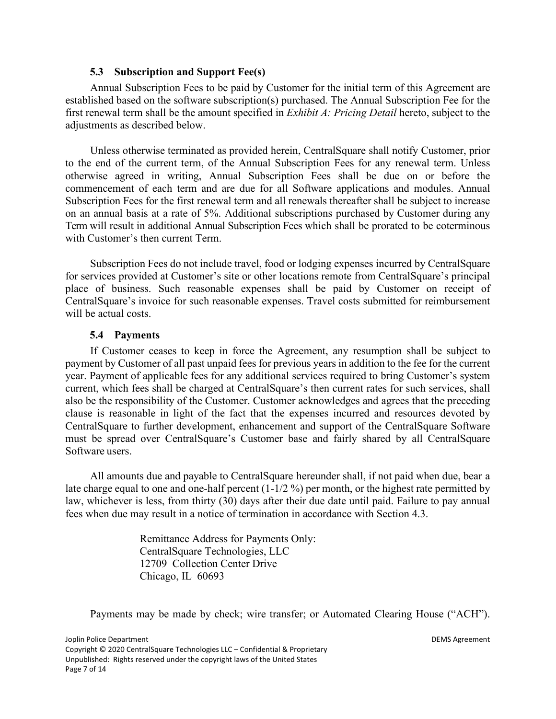#### **5.3 Subscription and Support Fee(s)**

Annual Subscription Fees to be paid by Customer for the initial term of this Agreement are established based on the software subscription(s) purchased. The Annual Subscription Fee for the first renewal term shall be the amount specified in *Exhibit A: Pricing Detail* hereto, subject to the adjustments as described below.

Unless otherwise terminated as provided herein, CentralSquare shall notify Customer, prior to the end of the current term, of the Annual Subscription Fees for any renewal term. Unless otherwise agreed in writing, Annual Subscription Fees shall be due on or before the commencement of each term and are due for all Software applications and modules. Annual Subscription Fees for the first renewal term and all renewals thereafter shall be subject to increase on an annual basis at a rate of 5%. Additional subscriptions purchased by Customer during any Term will result in additional Annual Subscription Fees which shall be prorated to be coterminous with Customer's then current Term.

Subscription Fees do not include travel, food or lodging expenses incurred by CentralSquare for services provided at Customer's site or other locations remote from CentralSquare's principal place of business. Such reasonable expenses shall be paid by Customer on receipt of CentralSquare's invoice for such reasonable expenses. Travel costs submitted for reimbursement will be actual costs.

#### **5.4 Payments**

If Customer ceases to keep in force the Agreement, any resumption shall be subject to payment by Customer of all past unpaid fees for previous years in addition to the fee for the current year. Payment of applicable fees for any additional services required to bring Customer's system current, which fees shall be charged at CentralSquare's then current rates for such services, shall also be the responsibility of the Customer. Customer acknowledges and agrees that the preceding clause is reasonable in light of the fact that the expenses incurred and resources devoted by CentralSquare to further development, enhancement and support of the CentralSquare Software must be spread over CentralSquare's Customer base and fairly shared by all CentralSquare Software users.

All amounts due and payable to CentralSquare hereunder shall, if not paid when due, bear a late charge equal to one and one-half percent (1-1/2 %) per month, or the highest rate permitted by law, whichever is less, from thirty (30) days after their due date until paid. Failure to pay annual fees when due may result in a notice of termination in accordance with Section 4.3.

> Remittance Address for Payments Only: CentralSquare Technologies, LLC 12709 Collection Center Drive Chicago, IL 60693

Payments may be made by check; wire transfer; or Automated Clearing House ("ACH").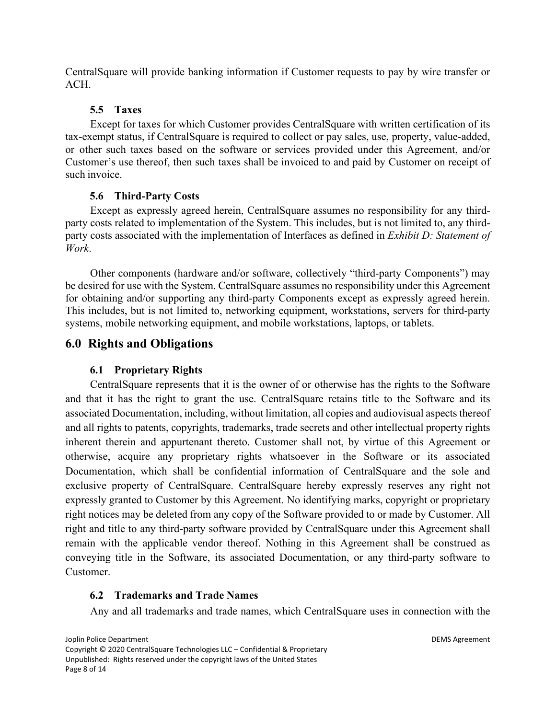CentralSquare will provide banking information if Customer requests to pay by wire transfer or ACH.

#### **5.5 Taxes**

Except for taxes for which Customer provides CentralSquare with written certification of its tax-exempt status, if CentralSquare is required to collect or pay sales, use, property, value-added, or other such taxes based on the software or services provided under this Agreement, and/or Customer's use thereof, then such taxes shall be invoiced to and paid by Customer on receipt of such invoice.

# **5.6 Third-Party Costs**

Except as expressly agreed herein, CentralSquare assumes no responsibility for any thirdparty costs related to implementation of the System. This includes, but is not limited to, any thirdparty costs associated with the implementation of Interfaces as defined in *Exhibit D: Statement of Work*.

Other components (hardware and/or software, collectively "third-party Components") may be desired for use with the System. CentralSquare assumes no responsibility under this Agreement for obtaining and/or supporting any third-party Components except as expressly agreed herein. This includes, but is not limited to, networking equipment, workstations, servers for third-party systems, mobile networking equipment, and mobile workstations, laptops, or tablets.

# **6.0 Rights and Obligations**

# **6.1 Proprietary Rights**

CentralSquare represents that it is the owner of or otherwise has the rights to the Software and that it has the right to grant the use. CentralSquare retains title to the Software and its associated Documentation, including, without limitation, all copies and audiovisual aspects thereof and all rights to patents, copyrights, trademarks, trade secrets and other intellectual property rights inherent therein and appurtenant thereto. Customer shall not, by virtue of this Agreement or otherwise, acquire any proprietary rights whatsoever in the Software or its associated Documentation, which shall be confidential information of CentralSquare and the sole and exclusive property of CentralSquare. CentralSquare hereby expressly reserves any right not expressly granted to Customer by this Agreement. No identifying marks, copyright or proprietary right notices may be deleted from any copy of the Software provided to or made by Customer. All right and title to any third-party software provided by CentralSquare under this Agreement shall remain with the applicable vendor thereof. Nothing in this Agreement shall be construed as conveying title in the Software, its associated Documentation, or any third-party software to Customer.

# **6.2 Trademarks and Trade Names**

Any and all trademarks and trade names, which CentralSquare uses in connection with the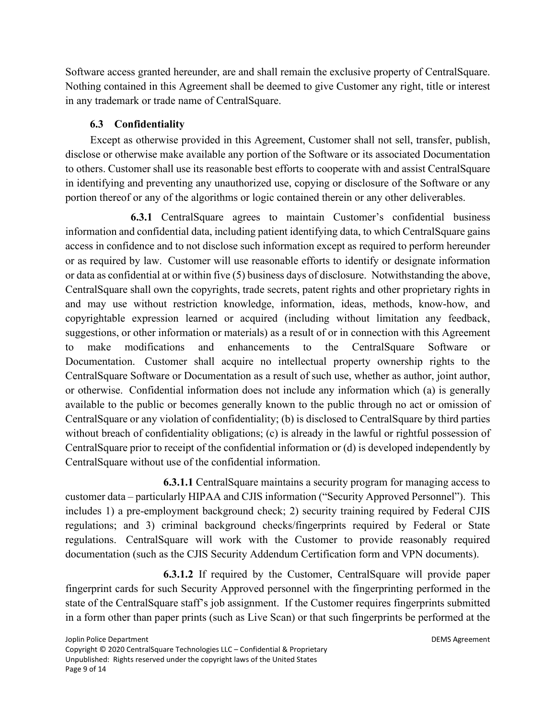Software access granted hereunder, are and shall remain the exclusive property of CentralSquare. Nothing contained in this Agreement shall be deemed to give Customer any right, title or interest in any trademark or trade name of CentralSquare.

# **6.3 Confidentiality**

Except as otherwise provided in this Agreement, Customer shall not sell, transfer, publish, disclose or otherwise make available any portion of the Software or its associated Documentation to others. Customer shall use its reasonable best efforts to cooperate with and assist CentralSquare in identifying and preventing any unauthorized use, copying or disclosure of the Software or any portion thereof or any of the algorithms or logic contained therein or any other deliverables.

 **6.3.1** CentralSquare agrees to maintain Customer's confidential business information and confidential data, including patient identifying data, to which CentralSquare gains access in confidence and to not disclose such information except as required to perform hereunder or as required by law. Customer will use reasonable efforts to identify or designate information or data as confidential at or within five (5) business days of disclosure. Notwithstanding the above, CentralSquare shall own the copyrights, trade secrets, patent rights and other proprietary rights in and may use without restriction knowledge, information, ideas, methods, know-how, and copyrightable expression learned or acquired (including without limitation any feedback, suggestions, or other information or materials) as a result of or in connection with this Agreement to make modifications and enhancements to the CentralSquare Software or Documentation. Customer shall acquire no intellectual property ownership rights to the CentralSquare Software or Documentation as a result of such use, whether as author, joint author, or otherwise. Confidential information does not include any information which (a) is generally available to the public or becomes generally known to the public through no act or omission of CentralSquare or any violation of confidentiality; (b) is disclosed to CentralSquare by third parties without breach of confidentiality obligations; (c) is already in the lawful or rightful possession of CentralSquare prior to receipt of the confidential information or (d) is developed independently by CentralSquare without use of the confidential information.

 **6.3.1.1** CentralSquare maintains a security program for managing access to customer data – particularly HIPAA and CJIS information ("Security Approved Personnel"). This includes 1) a pre-employment background check; 2) security training required by Federal CJIS regulations; and 3) criminal background checks/fingerprints required by Federal or State regulations. CentralSquare will work with the Customer to provide reasonably required documentation (such as the CJIS Security Addendum Certification form and VPN documents).

**6.3.1.2** If required by the Customer, CentralSquare will provide paper fingerprint cards for such Security Approved personnel with the fingerprinting performed in the state of the CentralSquare staff's job assignment. If the Customer requires fingerprints submitted in a form other than paper prints (such as Live Scan) or that such fingerprints be performed at the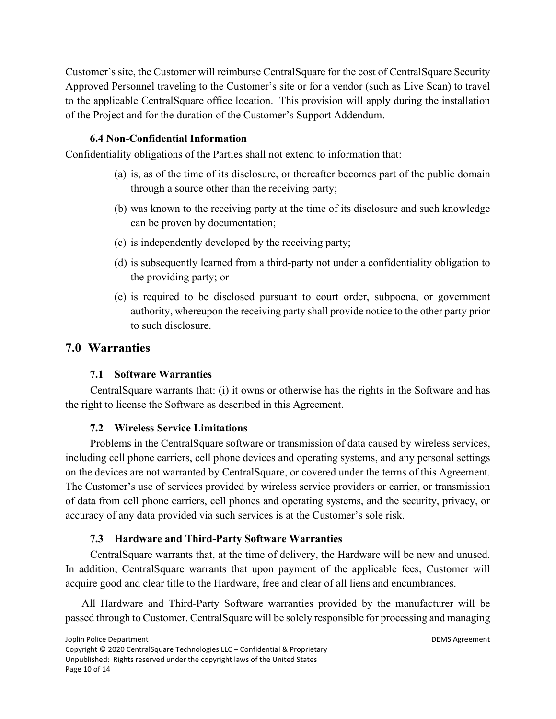Customer's site, the Customer will reimburse CentralSquare for the cost of CentralSquare Security Approved Personnel traveling to the Customer's site or for a vendor (such as Live Scan) to travel to the applicable CentralSquare office location. This provision will apply during the installation of the Project and for the duration of the Customer's Support Addendum.

#### **6.4 Non-Confidential Information**

Confidentiality obligations of the Parties shall not extend to information that:

- (a) is, as of the time of its disclosure, or thereafter becomes part of the public domain through a source other than the receiving party;
- (b) was known to the receiving party at the time of its disclosure and such knowledge can be proven by documentation;
- (c) is independently developed by the receiving party;
- (d) is subsequently learned from a third-party not under a confidentiality obligation to the providing party; or
- (e) is required to be disclosed pursuant to court order, subpoena, or government authority, whereupon the receiving party shall provide notice to the other party prior to such disclosure.

# **7.0 Warranties**

#### **7.1 Software Warranties**

CentralSquare warrants that: (i) it owns or otherwise has the rights in the Software and has the right to license the Software as described in this Agreement.

# **7.2 Wireless Service Limitations**

Problems in the CentralSquare software or transmission of data caused by wireless services, including cell phone carriers, cell phone devices and operating systems, and any personal settings on the devices are not warranted by CentralSquare, or covered under the terms of this Agreement. The Customer's use of services provided by wireless service providers or carrier, or transmission of data from cell phone carriers, cell phones and operating systems, and the security, privacy, or accuracy of any data provided via such services is at the Customer's sole risk.

# **7.3 Hardware and Third-Party Software Warranties**

CentralSquare warrants that, at the time of delivery, the Hardware will be new and unused. In addition, CentralSquare warrants that upon payment of the applicable fees, Customer will acquire good and clear title to the Hardware, free and clear of all liens and encumbrances.

All Hardware and Third-Party Software warranties provided by the manufacturer will be passed through to Customer. CentralSquare will be solely responsible for processing and managing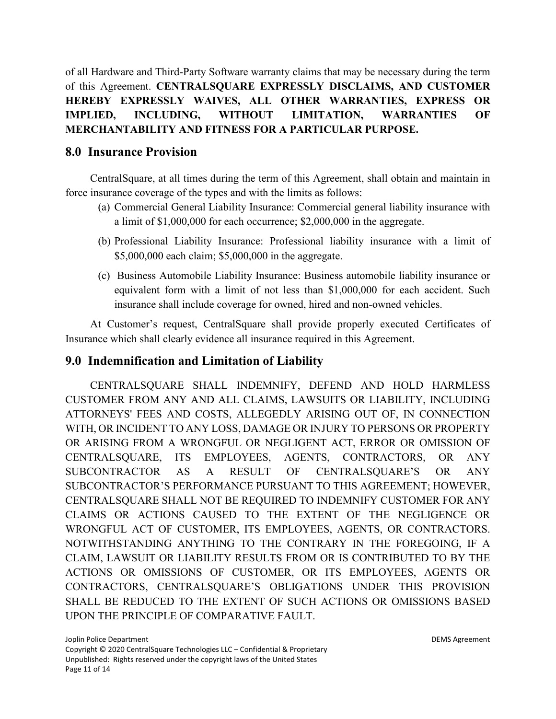of all Hardware and Third-Party Software warranty claims that may be necessary during the term of this Agreement. **CENTRALSQUARE EXPRESSLY DISCLAIMS, AND CUSTOMER HEREBY EXPRESSLY WAIVES, ALL OTHER WARRANTIES, EXPRESS OR IMPLIED, INCLUDING, WITHOUT LIMITATION, WARRANTIES OF MERCHANTABILITY AND FITNESS FOR A PARTICULAR PURPOSE.**

# **8.0 Insurance Provision**

CentralSquare, at all times during the term of this Agreement, shall obtain and maintain in force insurance coverage of the types and with the limits as follows:

- (a) Commercial General Liability Insurance: Commercial general liability insurance with a limit of \$1,000,000 for each occurrence; \$2,000,000 in the aggregate.
- (b) Professional Liability Insurance: Professional liability insurance with a limit of \$5,000,000 each claim; \$5,000,000 in the aggregate.
- (c) Business Automobile Liability Insurance: Business automobile liability insurance or equivalent form with a limit of not less than \$1,000,000 for each accident. Such insurance shall include coverage for owned, hired and non-owned vehicles.

At Customer's request, CentralSquare shall provide properly executed Certificates of Insurance which shall clearly evidence all insurance required in this Agreement.

# **9.0 Indemnification and Limitation of Liability**

CENTRALSQUARE SHALL INDEMNIFY, DEFEND AND HOLD HARMLESS CUSTOMER FROM ANY AND ALL CLAIMS, LAWSUITS OR LIABILITY, INCLUDING ATTORNEYS' FEES AND COSTS, ALLEGEDLY ARISING OUT OF, IN CONNECTION WITH, OR INCIDENT TO ANY LOSS, DAMAGE OR INJURY TO PERSONS OR PROPERTY OR ARISING FROM A WRONGFUL OR NEGLIGENT ACT, ERROR OR OMISSION OF CENTRALSQUARE, ITS EMPLOYEES, AGENTS, CONTRACTORS, OR ANY SUBCONTRACTOR AS A RESULT OF CENTRALSQUARE'S OR ANY SUBCONTRACTOR'S PERFORMANCE PURSUANT TO THIS AGREEMENT; HOWEVER, CENTRALSQUARE SHALL NOT BE REQUIRED TO INDEMNIFY CUSTOMER FOR ANY CLAIMS OR ACTIONS CAUSED TO THE EXTENT OF THE NEGLIGENCE OR WRONGFUL ACT OF CUSTOMER, ITS EMPLOYEES, AGENTS, OR CONTRACTORS. NOTWITHSTANDING ANYTHING TO THE CONTRARY IN THE FOREGOING, IF A CLAIM, LAWSUIT OR LIABILITY RESULTS FROM OR IS CONTRIBUTED TO BY THE ACTIONS OR OMISSIONS OF CUSTOMER, OR ITS EMPLOYEES, AGENTS OR CONTRACTORS, CENTRALSQUARE'S OBLIGATIONS UNDER THIS PROVISION SHALL BE REDUCED TO THE EXTENT OF SUCH ACTIONS OR OMISSIONS BASED UPON THE PRINCIPLE OF COMPARATIVE FAULT.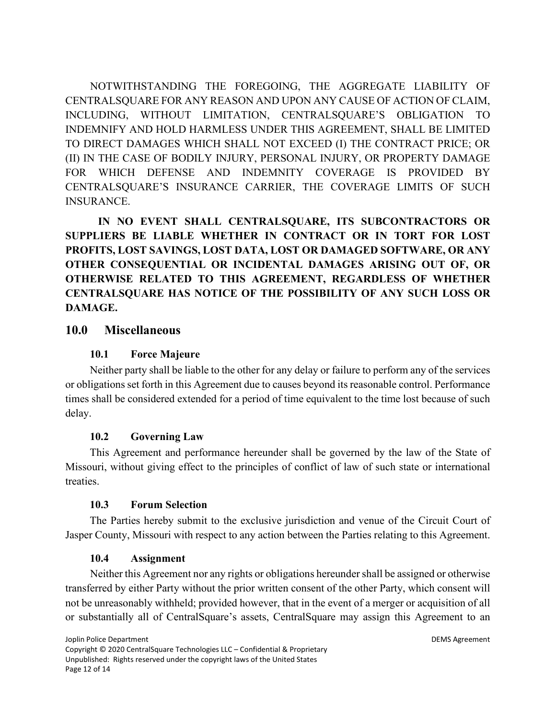NOTWITHSTANDING THE FOREGOING, THE AGGREGATE LIABILITY OF CENTRALSQUARE FOR ANY REASON AND UPON ANY CAUSE OF ACTION OF CLAIM, INCLUDING, WITHOUT LIMITATION, CENTRALSQUARE'S OBLIGATION TO INDEMNIFY AND HOLD HARMLESS UNDER THIS AGREEMENT, SHALL BE LIMITED TO DIRECT DAMAGES WHICH SHALL NOT EXCEED (I) THE CONTRACT PRICE; OR (II) IN THE CASE OF BODILY INJURY, PERSONAL INJURY, OR PROPERTY DAMAGE FOR WHICH DEFENSE AND INDEMNITY COVERAGE IS PROVIDED BY CENTRALSQUARE'S INSURANCE CARRIER, THE COVERAGE LIMITS OF SUCH INSURANCE.

**IN NO EVENT SHALL CENTRALSQUARE, ITS SUBCONTRACTORS OR SUPPLIERS BE LIABLE WHETHER IN CONTRACT OR IN TORT FOR LOST PROFITS, LOST SAVINGS, LOST DATA, LOST OR DAMAGED SOFTWARE, OR ANY OTHER CONSEQUENTIAL OR INCIDENTAL DAMAGES ARISING OUT OF, OR OTHERWISE RELATED TO THIS AGREEMENT, REGARDLESS OF WHETHER CENTRALSQUARE HAS NOTICE OF THE POSSIBILITY OF ANY SUCH LOSS OR DAMAGE.**

# **10.0 Miscellaneous**

#### **10.1 Force Majeure**

Neither party shall be liable to the other for any delay or failure to perform any of the services or obligations set forth in this Agreement due to causes beyond its reasonable control. Performance times shall be considered extended for a period of time equivalent to the time lost because of such delay.

#### **10.2 Governing Law**

This Agreement and performance hereunder shall be governed by the law of the State of Missouri, without giving effect to the principles of conflict of law of such state or international treaties.

#### **10.3 Forum Selection**

The Parties hereby submit to the exclusive jurisdiction and venue of the Circuit Court of Jasper County, Missouri with respect to any action between the Parties relating to this Agreement.

#### **10.4 Assignment**

Neither this Agreement nor any rights or obligations hereunder shall be assigned or otherwise transferred by either Party without the prior written consent of the other Party, which consent will not be unreasonably withheld; provided however, that in the event of a merger or acquisition of all or substantially all of CentralSquare's assets, CentralSquare may assign this Agreement to an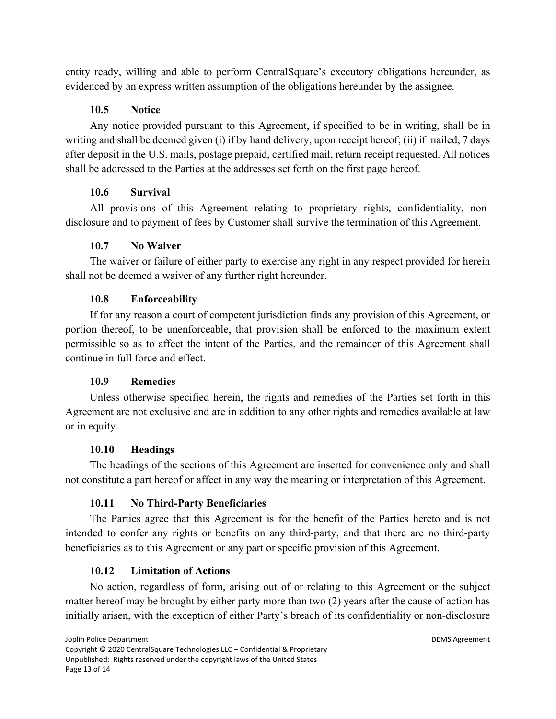entity ready, willing and able to perform CentralSquare's executory obligations hereunder, as evidenced by an express written assumption of the obligations hereunder by the assignee.

## **10.5 Notice**

Any notice provided pursuant to this Agreement, if specified to be in writing, shall be in writing and shall be deemed given (i) if by hand delivery, upon receipt hereof; (ii) if mailed, 7 days after deposit in the U.S. mails, postage prepaid, certified mail, return receipt requested. All notices shall be addressed to the Parties at the addresses set forth on the first page hereof.

# **10.6 Survival**

All provisions of this Agreement relating to proprietary rights, confidentiality, nondisclosure and to payment of fees by Customer shall survive the termination of this Agreement.

# **10.7 No Waiver**

The waiver or failure of either party to exercise any right in any respect provided for herein shall not be deemed a waiver of any further right hereunder.

# **10.8 Enforceability**

If for any reason a court of competent jurisdiction finds any provision of this Agreement, or portion thereof, to be unenforceable, that provision shall be enforced to the maximum extent permissible so as to affect the intent of the Parties, and the remainder of this Agreement shall continue in full force and effect.

# **10.9 Remedies**

Unless otherwise specified herein, the rights and remedies of the Parties set forth in this Agreement are not exclusive and are in addition to any other rights and remedies available at law or in equity.

# **10.10 Headings**

The headings of the sections of this Agreement are inserted for convenience only and shall not constitute a part hereof or affect in any way the meaning or interpretation of this Agreement.

# **10.11 No Third-Party Beneficiaries**

The Parties agree that this Agreement is for the benefit of the Parties hereto and is not intended to confer any rights or benefits on any third-party, and that there are no third-party beneficiaries as to this Agreement or any part or specific provision of this Agreement.

# **10.12 Limitation of Actions**

No action, regardless of form, arising out of or relating to this Agreement or the subject matter hereof may be brought by either party more than two (2) years after the cause of action has initially arisen, with the exception of either Party's breach of its confidentiality or non-disclosure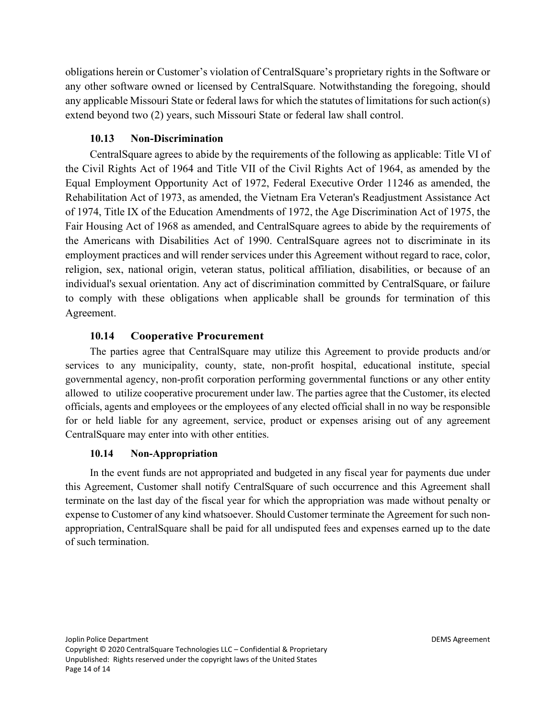obligations herein or Customer's violation of CentralSquare's proprietary rights in the Software or any other software owned or licensed by CentralSquare. Notwithstanding the foregoing, should any applicable Missouri State or federal laws for which the statutes of limitations for such action(s) extend beyond two (2) years, such Missouri State or federal law shall control.

## **10.13 Non-Discrimination**

CentralSquare agrees to abide by the requirements of the following as applicable: Title VI of the Civil Rights Act of 1964 and Title VII of the Civil Rights Act of 1964, as amended by the Equal Employment Opportunity Act of 1972, Federal Executive Order 11246 as amended, the Rehabilitation Act of 1973, as amended, the Vietnam Era Veteran's Readjustment Assistance Act of 1974, Title IX of the Education Amendments of 1972, the Age Discrimination Act of 1975, the Fair Housing Act of 1968 as amended, and CentralSquare agrees to abide by the requirements of the Americans with Disabilities Act of 1990. CentralSquare agrees not to discriminate in its employment practices and will render services under this Agreement without regard to race, color, religion, sex, national origin, veteran status, political affiliation, disabilities, or because of an individual's sexual orientation. Any act of discrimination committed by CentralSquare, or failure to comply with these obligations when applicable shall be grounds for termination of this Agreement.

## **10.14 Cooperative Procurement**

The parties agree that CentralSquare may utilize this Agreement to provide products and/or services to any municipality, county, state, non-profit hospital, educational institute, special governmental agency, non-profit corporation performing governmental functions or any other entity allowed to utilize cooperative procurement under law. The parties agree that the Customer, its elected officials, agents and employees or the employees of any elected official shall in no way be responsible for or held liable for any agreement, service, product or expenses arising out of any agreement CentralSquare may enter into with other entities.

#### **10.14 Non-Appropriation**

In the event funds are not appropriated and budgeted in any fiscal year for payments due under this Agreement, Customer shall notify CentralSquare of such occurrence and this Agreement shall terminate on the last day of the fiscal year for which the appropriation was made without penalty or expense to Customer of any kind whatsoever. Should Customer terminate the Agreement for such nonappropriation, CentralSquare shall be paid for all undisputed fees and expenses earned up to the date of such termination.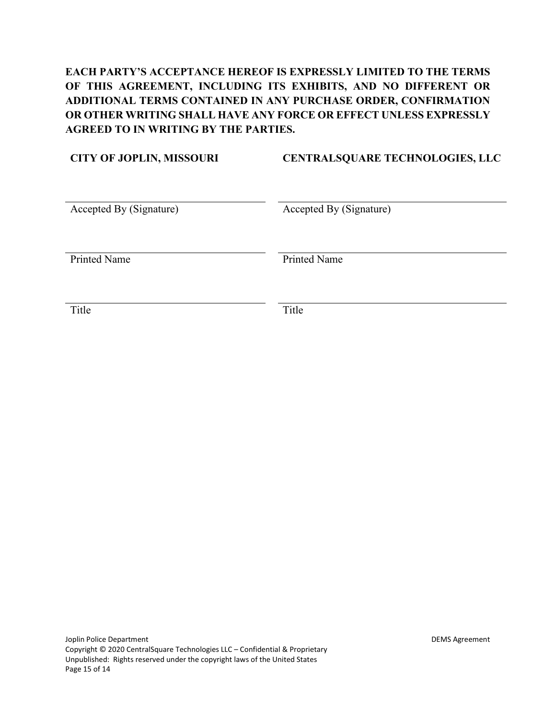# **EACH PARTY'S ACCEPTANCE HEREOF IS EXPRESSLY LIMITED TO THE TERMS OF THIS AGREEMENT, INCLUDING ITS EXHIBITS, AND NO DIFFERENT OR ADDITIONAL TERMS CONTAINED IN ANY PURCHASE ORDER, CONFIRMATION OR OTHER WRITING SHALL HAVE ANY FORCE OR EFFECT UNLESS EXPRESSLY AGREED TO IN WRITING BY THE PARTIES.**

# **CITY OF JOPLIN, MISSOURI CENTRALSQUARE TECHNOLOGIES, LLC** Accepted By (Signature) Accepted By (Signature) Printed Name Printed Name Title Title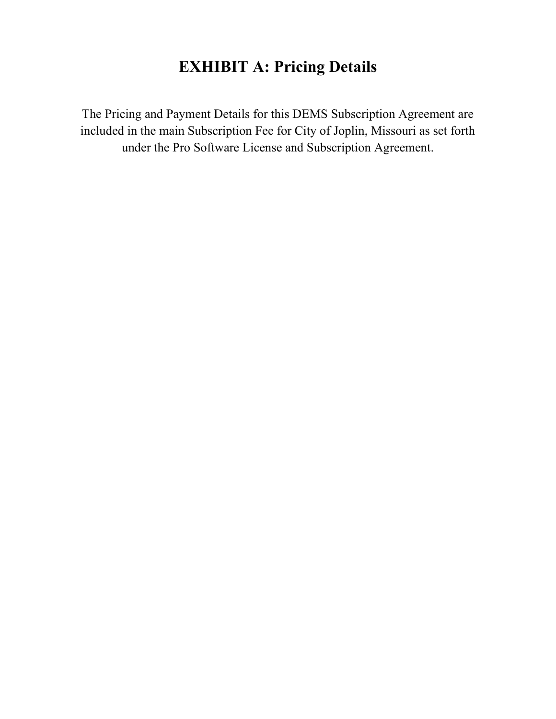# **EXHIBIT A: Pricing Details**

The Pricing and Payment Details for this DEMS Subscription Agreement are included in the main Subscription Fee for City of Joplin, Missouri as set forth under the Pro Software License and Subscription Agreement.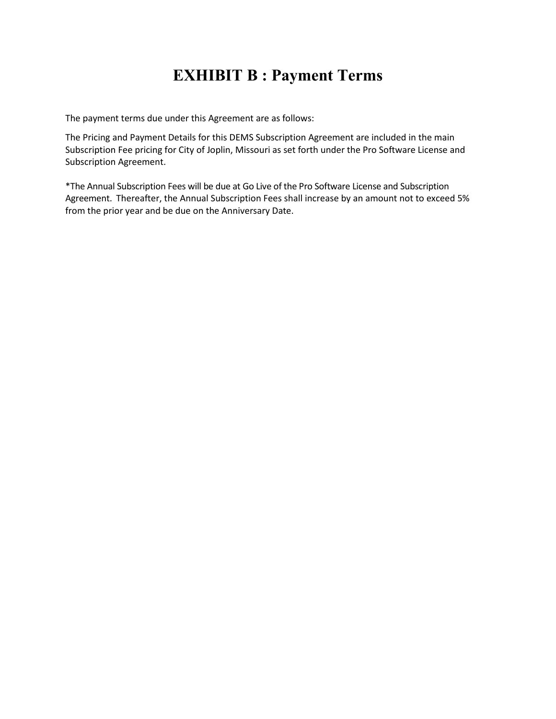# **EXHIBIT B : Payment Terms**

The payment terms due under this Agreement are as follows:

The Pricing and Payment Details for this DEMS Subscription Agreement are included in the main Subscription Fee pricing for City of Joplin, Missouri as set forth under the Pro Software License and Subscription Agreement.

\*The Annual Subscription Fees will be due at Go Live of the Pro Software License and Subscription Agreement. Thereafter, the Annual Subscription Fees shall increase by an amount not to exceed 5% from the prior year and be due on the Anniversary Date.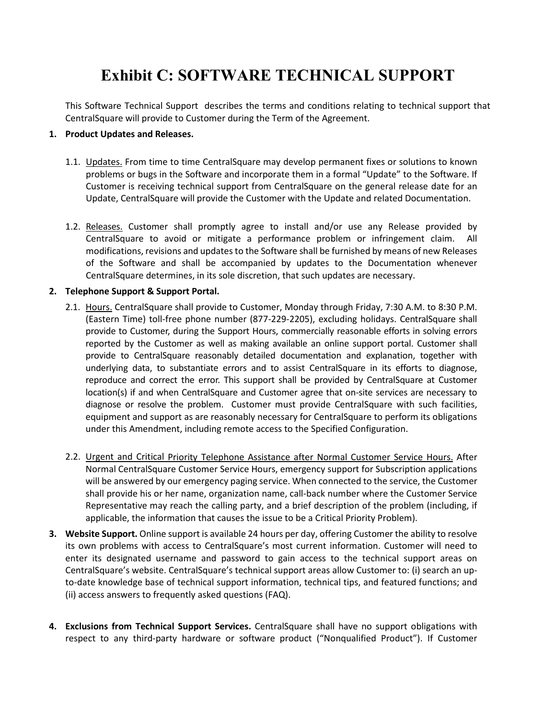# **Exhibit C: SOFTWARE TECHNICAL SUPPORT**

This Software Technical Support describes the terms and conditions relating to technical support that CentralSquare will provide to Customer during the Term of the Agreement.

#### **1. Product Updates and Releases.**

- 1.1. Updates. From time to time CentralSquare may develop permanent fixes or solutions to known problems or bugs in the Software and incorporate them in a formal "Update" to the Software. If Customer is receiving technical support from CentralSquare on the general release date for an Update, CentralSquare will provide the Customer with the Update and related Documentation.
- 1.2. Releases. Customer shall promptly agree to install and/or use any Release provided by CentralSquare to avoid or mitigate a performance problem or infringement claim. All modifications, revisions and updates to the Software shall be furnished by means of new Releases of the Software and shall be accompanied by updates to the Documentation whenever CentralSquare determines, in its sole discretion, that such updates are necessary.

#### **2. Telephone Support & Support Portal.**

- 2.1. Hours. CentralSquare shall provide to Customer, Monday through Friday, 7:30 A.M. to 8:30 P.M. (Eastern Time) toll-free phone number (877-229-2205), excluding holidays. CentralSquare shall provide to Customer, during the Support Hours, commercially reasonable efforts in solving errors reported by the Customer as well as making available an online support portal. Customer shall provide to CentralSquare reasonably detailed documentation and explanation, together with underlying data, to substantiate errors and to assist CentralSquare in its efforts to diagnose, reproduce and correct the error. This support shall be provided by CentralSquare at Customer location(s) if and when CentralSquare and Customer agree that on-site services are necessary to diagnose or resolve the problem. Customer must provide CentralSquare with such facilities, equipment and support as are reasonably necessary for CentralSquare to perform its obligations under this Amendment, including remote access to the Specified Configuration.
- 2.2. Urgent and Critical Priority Telephone Assistance after Normal Customer Service Hours. After Normal CentralSquare Customer Service Hours, emergency support for Subscription applications will be answered by our emergency paging service. When connected to the service, the Customer shall provide his or her name, organization name, call-back number where the Customer Service Representative may reach the calling party, and a brief description of the problem (including, if applicable, the information that causes the issue to be a Critical Priority Problem).
- **3. Website Support.** Online support is available 24 hours per day, offering Customer the ability to resolve its own problems with access to CentralSquare's most current information. Customer will need to enter its designated username and password to gain access to the technical support areas on CentralSquare's website. CentralSquare's technical support areas allow Customer to: (i) search an upto-date knowledge base of technical support information, technical tips, and featured functions; and (ii) access answers to frequently asked questions (FAQ).
- **4. Exclusions from Technical Support Services.** CentralSquare shall have no support obligations with respect to any third-party hardware or software product ("Nonqualified Product"). If Customer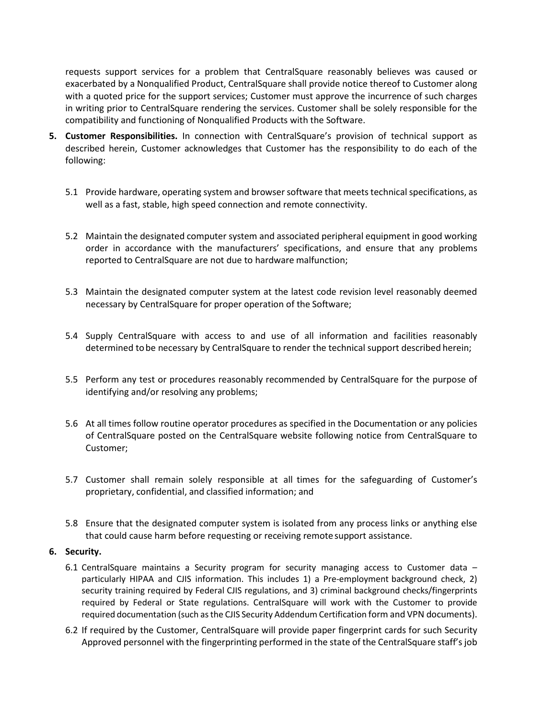requests support services for a problem that CentralSquare reasonably believes was caused or exacerbated by a Nonqualified Product, CentralSquare shall provide notice thereof to Customer along with a quoted price for the support services; Customer must approve the incurrence of such charges in writing prior to CentralSquare rendering the services. Customer shall be solely responsible for the compatibility and functioning of Nonqualified Products with the Software.

- **5. Customer Responsibilities.** In connection with CentralSquare's provision of technical support as described herein, Customer acknowledges that Customer has the responsibility to do each of the following:
	- 5.1 Provide hardware, operating system and browser software that meets technical specifications, as well as a fast, stable, high speed connection and remote connectivity.
	- 5.2 Maintain the designated computer system and associated peripheral equipment in good working order in accordance with the manufacturers' specifications, and ensure that any problems reported to CentralSquare are not due to hardware malfunction;
	- 5.3 Maintain the designated computer system at the latest code revision level reasonably deemed necessary by CentralSquare for proper operation of the Software;
	- 5.4 Supply CentralSquare with access to and use of all information and facilities reasonably determined tobe necessary by CentralSquare to render the technical support described herein;
	- 5.5 Perform any test or procedures reasonably recommended by CentralSquare for the purpose of identifying and/or resolving any problems;
	- 5.6 At all times follow routine operator procedures as specified in the Documentation or any policies of CentralSquare posted on the CentralSquare website following notice from CentralSquare to Customer;
	- 5.7 Customer shall remain solely responsible at all times for the safeguarding of Customer's proprietary, confidential, and classified information; and
	- 5.8 Ensure that the designated computer system is isolated from any process links or anything else that could cause harm before requesting or receiving remote support assistance.

#### **6. Security.**

- 6.1 CentralSquare maintains a Security program for security managing access to Customer data particularly HIPAA and CJIS information. This includes 1) a Pre-employment background check, 2) security training required by Federal CJIS regulations, and 3) criminal background checks/fingerprints required by Federal or State regulations. CentralSquare will work with the Customer to provide required documentation (such as the CJIS Security Addendum Certification form and VPN documents).
- 6.2 If required by the Customer, CentralSquare will provide paper fingerprint cards for such Security Approved personnel with the fingerprinting performed in the state of the CentralSquare staff's job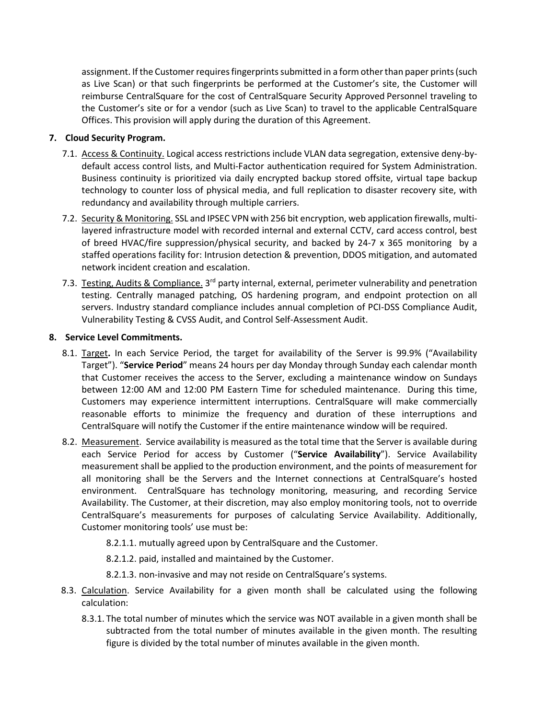assignment. If the Customer requires fingerprints submitted in a form other than paper prints (such as Live Scan) or that such fingerprints be performed at the Customer's site, the Customer will reimburse CentralSquare for the cost of CentralSquare Security Approved Personnel traveling to the Customer's site or for a vendor (such as Live Scan) to travel to the applicable CentralSquare Offices. This provision will apply during the duration of this Agreement.

#### **7. Cloud Security Program.**

- 7.1. Access & Continuity. Logical access restrictions include VLAN data segregation, extensive deny-bydefault access control lists, and Multi-Factor authentication required for System Administration. Business continuity is prioritized via daily encrypted backup stored offsite, virtual tape backup technology to counter loss of physical media, and full replication to disaster recovery site, with redundancy and availability through multiple carriers.
- 7.2. Security & Monitoring. SSL and IPSEC VPN with 256 bit encryption, web application firewalls, multilayered infrastructure model with recorded internal and external CCTV, card access control, best of breed HVAC/fire suppression/physical security, and backed by 24-7 x 365 monitoring by a staffed operations facility for: Intrusion detection & prevention, DDOS mitigation, and automated network incident creation and escalation.
- 7.3. Testing, Audits & Compliance. 3<sup>rd</sup> party internal, external, perimeter vulnerability and penetration testing. Centrally managed patching, OS hardening program, and endpoint protection on all servers. Industry standard compliance includes annual completion of PCI-DSS Compliance Audit, Vulnerability Testing & CVSS Audit, and Control Self-Assessment Audit.

#### **8. Service Level Commitments.**

- 8.1. Target**.** In each Service Period, the target for availability of the Server is 99.9% ("Availability Target"). "**Service Period**" means 24 hours per day Monday through Sunday each calendar month that Customer receives the access to the Server, excluding a maintenance window on Sundays between 12:00 AM and 12:00 PM Eastern Time for scheduled maintenance. During this time, Customers may experience intermittent interruptions. CentralSquare will make commercially reasonable efforts to minimize the frequency and duration of these interruptions and CentralSquare will notify the Customer if the entire maintenance window will be required.
- 8.2. Measurement. Service availability is measured as the total time that the Server is available during each Service Period for access by Customer ("**Service Availability**"). Service Availability measurement shall be applied to the production environment, and the points of measurement for all monitoring shall be the Servers and the Internet connections at CentralSquare's hosted environment. CentralSquare has technology monitoring, measuring, and recording Service Availability. The Customer, at their discretion, may also employ monitoring tools, not to override CentralSquare's measurements for purposes of calculating Service Availability. Additionally, Customer monitoring tools' use must be:
	- 8.2.1.1. mutually agreed upon by CentralSquare and the Customer.
	- 8.2.1.2. paid, installed and maintained by the Customer.
	- 8.2.1.3. non-invasive and may not reside on CentralSquare's systems.
- 8.3. Calculation. Service Availability for a given month shall be calculated using the following calculation:
	- 8.3.1. The total number of minutes which the service was NOT available in a given month shall be subtracted from the total number of minutes available in the given month. The resulting figure is divided by the total number of minutes available in the given month.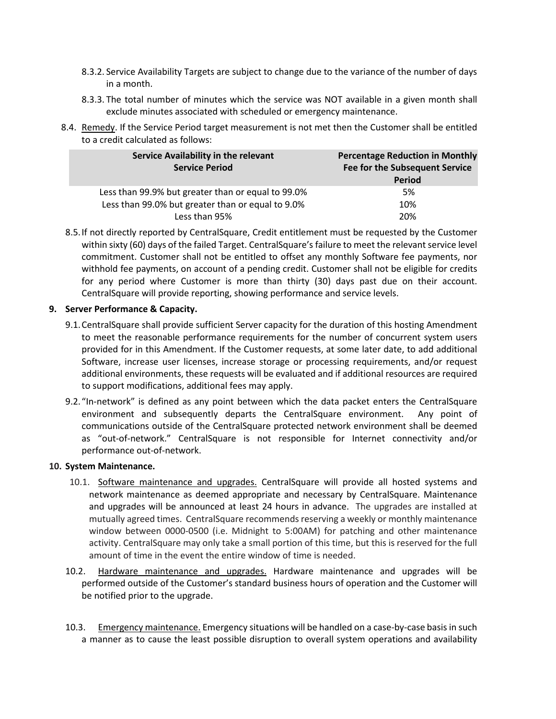- 8.3.2. Service Availability Targets are subject to change due to the variance of the number of days in a month.
- 8.3.3. The total number of minutes which the service was NOT available in a given month shall exclude minutes associated with scheduled or emergency maintenance.
- 8.4. Remedy. If the Service Period target measurement is not met then the Customer shall be entitled to a credit calculated as follows:

| Service Availability in the relevant<br><b>Service Period</b> | <b>Percentage Reduction in Monthly</b><br><b>Fee for the Subsequent Service</b><br><b>Period</b> |
|---------------------------------------------------------------|--------------------------------------------------------------------------------------------------|
| Less than 99.9% but greater than or equal to 99.0%            | 5%                                                                                               |
| Less than 99.0% but greater than or equal to 9.0%             | 10%                                                                                              |
| Less than 95%                                                 | 20%                                                                                              |

8.5.If not directly reported by CentralSquare, Credit entitlement must be requested by the Customer within sixty (60) days of the failed Target. CentralSquare's failure to meet the relevant service level commitment. Customer shall not be entitled to offset any monthly Software fee payments, nor withhold fee payments, on account of a pending credit. Customer shall not be eligible for credits for any period where Customer is more than thirty (30) days past due on their account. CentralSquare will provide reporting, showing performance and service levels.

#### **9. Server Performance & Capacity.**

- 9.1.CentralSquare shall provide sufficient Server capacity for the duration of this hosting Amendment to meet the reasonable performance requirements for the number of concurrent system users provided for in this Amendment. If the Customer requests, at some later date, to add additional Software, increase user licenses, increase storage or processing requirements, and/or request additional environments, these requests will be evaluated and if additional resources are required to support modifications, additional fees may apply.
- 9.2. "In-network" is defined as any point between which the data packet enters the CentralSquare environment and subsequently departs the CentralSquare environment. Any point of communications outside of the CentralSquare protected network environment shall be deemed as "out-of-network." CentralSquare is not responsible for Internet connectivity and/or performance out-of-network.

#### **10. System Maintenance.**

- 10.1. Software maintenance and upgrades. CentralSquare will provide all hosted systems and network maintenance as deemed appropriate and necessary by CentralSquare. Maintenance and upgrades will be announced at least 24 hours in advance. The upgrades are installed at mutually agreed times. CentralSquare recommends reserving a weekly or monthly maintenance window between 0000-0500 (i.e. Midnight to 5:00AM) for patching and other maintenance activity. CentralSquare may only take a small portion of this time, but this is reserved for the full amount of time in the event the entire window of time is needed.
- 10.2. Hardware maintenance and upgrades. Hardware maintenance and upgrades will be performed outside of the Customer's standard business hours of operation and the Customer will be notified prior to the upgrade.
- 10.3. Emergency maintenance. Emergency situations will be handled on a case-by-case basis in such a manner as to cause the least possible disruption to overall system operations and availability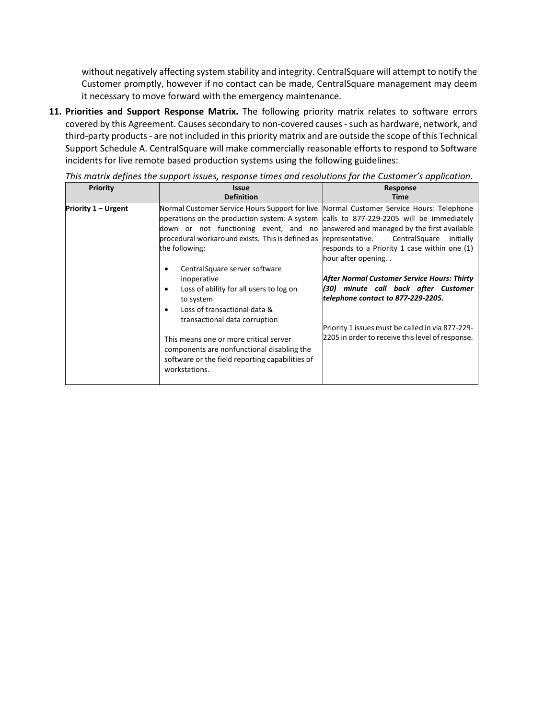without negatively affecting system stability and integrity. CentralSquare will attempt to notify the Customer promptly, however if no contact can be made, CentralSquare management may deem it necessary to move forward with the emergency maintenance.

**11. Priorities and Support Response Matrix.** The following priority matrix relates to software errors covered by this Agreement. Causes secondary to non-covered causes -such as hardware, network, and third-party products - are not included in this priority matrix and are outside the scope of this Technical Support Schedule A. CentralSquare will make commercially reasonable efforts to respond to Software incidents for live remote based production systems using the following guidelines:

| Priority            | <b>Issue</b><br><b>Definition</b>                                                                                                                                                                              | <b>Response</b><br>Time                                                                                                                                                                                                                                     |
|---------------------|----------------------------------------------------------------------------------------------------------------------------------------------------------------------------------------------------------------|-------------------------------------------------------------------------------------------------------------------------------------------------------------------------------------------------------------------------------------------------------------|
| Priority 1 – Urgent | Normal Customer Service Hours Support for live<br>operations on the production system: A system<br>down or not functioning event, and no<br>procedural workaround exists. This is defined as<br>the following: | Normal Customer Service Hours: Telephone<br>calls to 877-229-2205 will be immediately<br>answered and managed by the first available<br>representative.<br>CentralSquare<br>initially<br>responds to a Priority 1 case within one (1)<br>hour after opening |
|                     | CentralSquare server software<br>٠<br>inoperative<br>Loss of ability for all users to log on<br>٠<br>to system<br>Loss of transactional data &<br>٠<br>transactional data corruption                           | After Normal Customer Service Hours: Thirty<br>(30) minute call back after Customer<br>telephone contact to 877-229-2205.                                                                                                                                   |
|                     | This means one or more critical server<br>components are nonfunctional disabling the<br>software or the field reporting capabilities of<br>workstations.                                                       | Priority 1 issues must be called in via 877-229-<br>2205 in order to receive this level of response.                                                                                                                                                        |

*This matrix defines the support issues, response times and resolutions for the Customer's application.*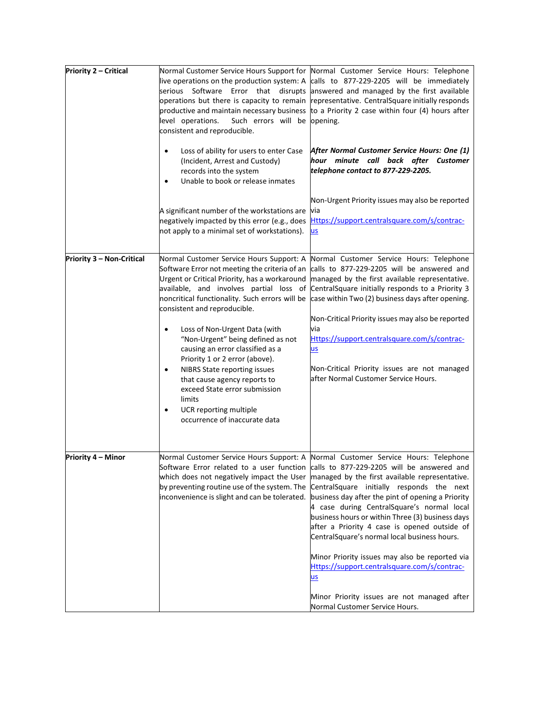| Priority 2 - Critical            | operations but there is capacity to remain<br>Such errors will be opening.<br>level operations.<br>consistent and reproducible.                                                                                                                                                                        | Normal Customer Service Hours Support for Normal Customer Service Hours: Telephone<br>live operations on the production system: A calls to 877-229-2205 will be immediately<br>serious Software Error that disrupts answered and managed by the first available<br>representative. CentralSquare initially responds<br>productive and maintain necessary business to a Priority 2 case within four (4) hours after                                                                                                                                                                                                                                                        |
|----------------------------------|--------------------------------------------------------------------------------------------------------------------------------------------------------------------------------------------------------------------------------------------------------------------------------------------------------|---------------------------------------------------------------------------------------------------------------------------------------------------------------------------------------------------------------------------------------------------------------------------------------------------------------------------------------------------------------------------------------------------------------------------------------------------------------------------------------------------------------------------------------------------------------------------------------------------------------------------------------------------------------------------|
|                                  | Loss of ability for users to enter Case<br>$\bullet$<br>(Incident, Arrest and Custody)<br>records into the system<br>Unable to book or release inmates<br>$\bullet$                                                                                                                                    | After Normal Customer Service Hours: One (1)<br>hour minute call back after Customer<br>telephone contact to 877-229-2205.                                                                                                                                                                                                                                                                                                                                                                                                                                                                                                                                                |
|                                  | A significant number of the workstations are<br>negatively impacted by this error (e.g., does<br>not apply to a minimal set of workstations).                                                                                                                                                          | Non-Urgent Priority issues may also be reported<br>via<br>Https://support.centralsquare.com/s/contrac-<br><b>us</b>                                                                                                                                                                                                                                                                                                                                                                                                                                                                                                                                                       |
| <b>Priority 3 - Non-Critical</b> | Normal Customer Service Hours Support: A<br>Urgent or Critical Priority, has a workaround<br>available, and involves partial loss of<br>noncritical functionality. Such errors will be<br>consistent and reproducible.<br>Loss of Non-Urgent Data (with<br>$\bullet$                                   | Normal Customer Service Hours: Telephone<br>Software Error not meeting the criteria of an calls to 877-229-2205 will be answered and<br>managed by the first available representative.<br>CentralSquare initially responds to a Priority 3<br>case within Two (2) business days after opening.<br>Non-Critical Priority issues may also be reported<br>via                                                                                                                                                                                                                                                                                                                |
|                                  | "Non-Urgent" being defined as not<br>causing an error classified as a<br>Priority 1 or 2 error (above).<br><b>NIBRS State reporting issues</b><br>٠<br>that cause agency reports to<br>exceed State error submission<br>limits<br>UCR reporting multiple<br>$\bullet$<br>occurrence of inaccurate data | Https://support.centralsquare.com/s/contrac-<br><u>us</u><br>Non-Critical Priority issues are not managed<br>after Normal Customer Service Hours.                                                                                                                                                                                                                                                                                                                                                                                                                                                                                                                         |
| Priority 4 – Minor               | inconvenience is slight and can be tolerated.                                                                                                                                                                                                                                                          | Normal Customer Service Hours Support: A Normal Customer Service Hours: Telephone<br>Software Error related to a user function calls to 877-229-2205 will be answered and<br>which does not negatively impact the User managed by the first available representative.<br>by preventing routine use of the system. The Central Square initially responds the next<br>business day after the pint of opening a Priority<br>4 case during CentralSquare's normal local<br>business hours or within Three (3) business days<br>after a Priority 4 case is opened outside of<br>CentralSquare's normal local business hours.<br>Minor Priority issues may also be reported via |
|                                  |                                                                                                                                                                                                                                                                                                        | Https://support.centralsquare.com/s/contrac-<br><u>us</u><br>Minor Priority issues are not managed after                                                                                                                                                                                                                                                                                                                                                                                                                                                                                                                                                                  |
|                                  |                                                                                                                                                                                                                                                                                                        | Normal Customer Service Hours.                                                                                                                                                                                                                                                                                                                                                                                                                                                                                                                                                                                                                                            |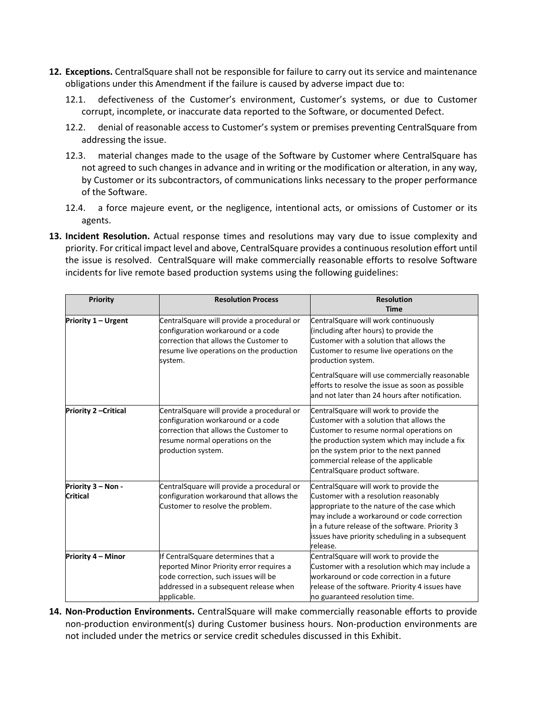- **12. Exceptions.** CentralSquare shall not be responsible for failure to carry out its service and maintenance obligations under this Amendment if the failure is caused by adverse impact due to:
	- 12.1. defectiveness of the Customer's environment, Customer's systems, or due to Customer corrupt, incomplete, or inaccurate data reported to the Software, or documented Defect.
	- 12.2. denial of reasonable access to Customer's system or premises preventing CentralSquare from addressing the issue.
	- 12.3. material changes made to the usage of the Software by Customer where CentralSquare has not agreed to such changes in advance and in writing or the modification or alteration, in any way, by Customer or its subcontractors, of communications links necessary to the proper performance of the Software.
	- 12.4. a force majeure event, or the negligence, intentional acts, or omissions of Customer or its agents.
- **13. Incident Resolution.** Actual response times and resolutions may vary due to issue complexity and priority. For critical impact level and above, CentralSquare provides a continuous resolution effort until the issue is resolved. CentralSquare will make commercially reasonable efforts to resolve Software incidents for live remote based production systems using the following guidelines:

| <b>Priority</b>                       | <b>Resolution Process</b>                                                                                                                                                           | <b>Resolution</b><br><b>Time</b>                                                                                                                                                                                                                                                                                                                       |
|---------------------------------------|-------------------------------------------------------------------------------------------------------------------------------------------------------------------------------------|--------------------------------------------------------------------------------------------------------------------------------------------------------------------------------------------------------------------------------------------------------------------------------------------------------------------------------------------------------|
| Priority 1 - Urgent                   | CentralSquare will provide a procedural or<br>configuration workaround or a code<br>correction that allows the Customer to<br>resume live operations on the production<br>system.   | CentralSquare will work continuously<br>(including after hours) to provide the<br>Customer with a solution that allows the<br>Customer to resume live operations on the<br>production system.<br>CentralSquare will use commercially reasonable<br>efforts to resolve the issue as soon as possible<br>and not later than 24 hours after notification. |
| <b>Priority 2 - Critical</b>          | CentralSquare will provide a procedural or<br>configuration workaround or a code<br>correction that allows the Customer to<br>resume normal operations on the<br>production system. | CentralSquare will work to provide the<br>Customer with a solution that allows the<br>Customer to resume normal operations on<br>the production system which may include a fix<br>on the system prior to the next panned<br>commercial release of the applicable<br>CentralSquare product software.                                                    |
| Priority 3 - Non -<br><b>Critical</b> | CentralSquare will provide a procedural or<br>configuration workaround that allows the<br>Customer to resolve the problem.                                                          | CentralSquare will work to provide the<br>Customer with a resolution reasonably<br>appropriate to the nature of the case which<br>may include a workaround or code correction<br>in a future release of the software. Priority 3<br>issues have priority scheduling in a subsequent<br>release.                                                        |
| Priority 4 - Minor                    | If CentralSquare determines that a<br>reported Minor Priority error requires a<br>code correction, such issues will be<br>addressed in a subsequent release when<br>applicable.     | CentralSquare will work to provide the<br>Customer with a resolution which may include a<br>workaround or code correction in a future<br>release of the software. Priority 4 issues have<br>no guaranteed resolution time.                                                                                                                             |

**14. Non-Production Environments.** CentralSquare will make commercially reasonable efforts to provide non-production environment(s) during Customer business hours. Non-production environments are not included under the metrics or service credit schedules discussed in this Exhibit.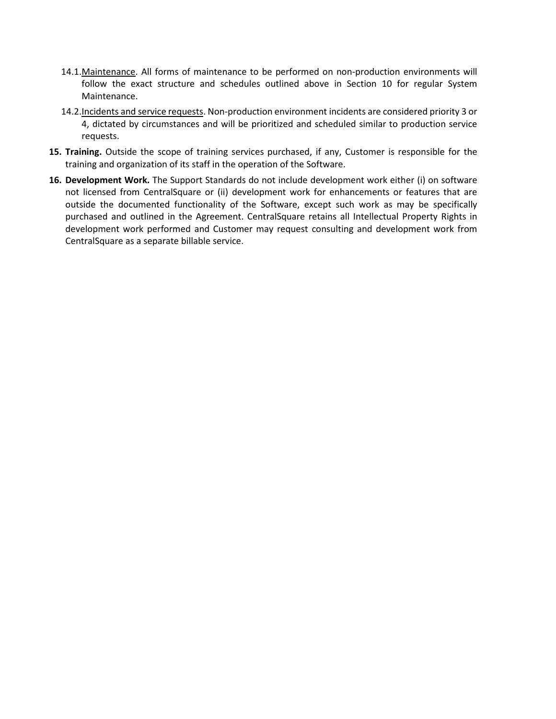- 14.1.Maintenance. All forms of maintenance to be performed on non-production environments will follow the exact structure and schedules outlined above in Section 10 for regular System Maintenance.
- 14.2.Incidents and service requests. Non-production environment incidents are considered priority 3 or 4, dictated by circumstances and will be prioritized and scheduled similar to production service requests.
- **15. Training.** Outside the scope of training services purchased, if any, Customer is responsible for the training and organization of its staff in the operation of the Software.
- **16. Development Work.** The Support Standards do not include development work either (i) on software not licensed from CentralSquare or (ii) development work for enhancements or features that are outside the documented functionality of the Software, except such work as may be specifically purchased and outlined in the Agreement. CentralSquare retains all Intellectual Property Rights in development work performed and Customer may request consulting and development work from CentralSquare as a separate billable service.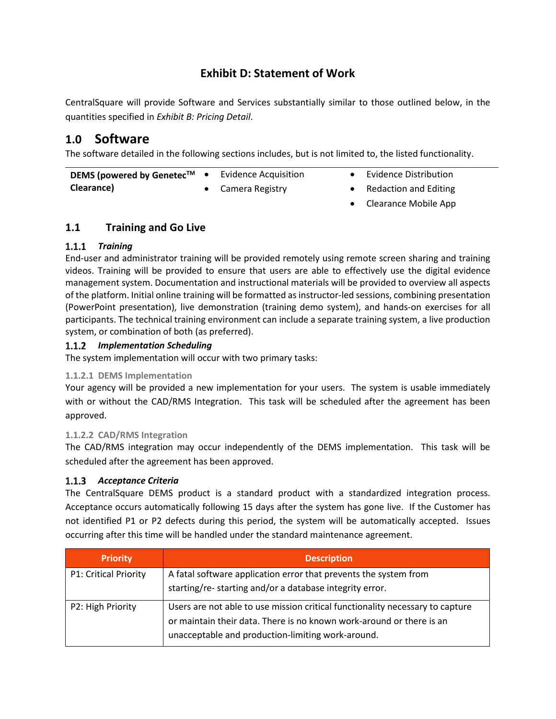# **Exhibit D: Statement of Work**

CentralSquare will provide Software and Services substantially similar to those outlined below, in the quantities specified in *Exhibit B: Pricing Detail*.

# **1.0 Software**

The software detailed in the following sections includes, but is not limited to, the listed functionality.

| DEMS (powered by Genetec <sup>™</sup> | Evidence Acquisition | <b>Evidence Distribution</b> |
|---------------------------------------|----------------------|------------------------------|
| Clearance)                            | Camera Registry      | <b>Redaction and Editing</b> |

• Clearance Mobile App

# **1.1 Training and Go Live**

#### *Training*

End-user and administrator training will be provided remotely using remote screen sharing and training videos. Training will be provided to ensure that users are able to effectively use the digital evidence management system. Documentation and instructional materials will be provided to overview all aspects of the platform. Initial online training will be formatted as instructor-led sessions, combining presentation (PowerPoint presentation), live demonstration (training demo system), and hands-on exercises for all participants. The technical training environment can include a separate training system, a live production system, or combination of both (as preferred).

#### *Implementation Scheduling*

The system implementation will occur with two primary tasks:

#### **1.1.2.1 DEMS Implementation**

Your agency will be provided a new implementation for your users. The system is usable immediately with or without the CAD/RMS Integration. This task will be scheduled after the agreement has been approved.

#### **1.1.2.2 CAD/RMS Integration**

The CAD/RMS integration may occur independently of the DEMS implementation. This task will be scheduled after the agreement has been approved.

#### *Acceptance Criteria*

The CentralSquare DEMS product is a standard product with a standardized integration process. Acceptance occurs automatically following 15 days after the system has gone live. If the Customer has not identified P1 or P2 defects during this period, the system will be automatically accepted. Issues occurring after this time will be handled under the standard maintenance agreement.

| <b>Priority</b>              | <b>Description</b>                                                                                                                                                                                         |
|------------------------------|------------------------------------------------------------------------------------------------------------------------------------------------------------------------------------------------------------|
| <b>P1: Critical Priority</b> | A fatal software application error that prevents the system from<br>starting/re- starting and/or a database integrity error.                                                                               |
| P2: High Priority            | Users are not able to use mission critical functionality necessary to capture<br>or maintain their data. There is no known work-around or there is an<br>unacceptable and production-limiting work-around. |